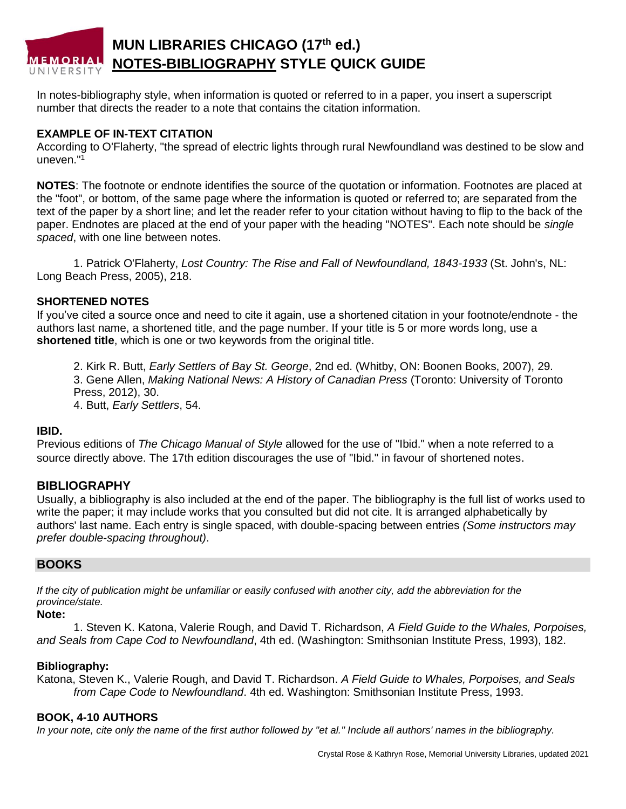# **MUN LIBRARIES CHICAGO (17th ed.) MEMORIAL NOTES-BIBLIOGRAPHY STYLE QUICK GUIDE**

In notes-bibliography style, when information is quoted or referred to in a paper, you insert a superscript number that directs the reader to a note that contains the citation information.

#### **EXAMPLE OF IN-TEXT CITATION**

According to O'Flaherty, "the spread of electric lights through rural Newfoundland was destined to be slow and uneven."<sup>1</sup>

**NOTES**: The footnote or endnote identifies the source of the quotation or information. Footnotes are placed at the "foot", or bottom, of the same page where the information is quoted or referred to; are separated from the text of the paper by a short line; and let the reader refer to your citation without having to flip to the back of the paper. Endnotes are placed at the end of your paper with the heading "NOTES". Each note should be *single spaced*, with one line between notes.

1. Patrick O'Flaherty, *Lost Country: The Rise and Fall of Newfoundland, 1843-1933* (St. John's, NL: Long Beach Press, 2005), 218.

#### **SHORTENED NOTES**

If you've cited a source once and need to cite it again, use a shortened citation in your footnote/endnote - the authors last name, a shortened title, and the page number. If your title is 5 or more words long, use a **shortened title**, which is one or two keywords from the original title.

2. Kirk R. Butt, *Early Settlers of Bay St. George*, 2nd ed. (Whitby, ON: Boonen Books, 2007), 29. 3. Gene Allen, *Making National News: A History of Canadian Press* (Toronto: University of Toronto Press, 2012), 30.

4. Butt, *Early Settlers*, 54.

#### **IBID.**

Previous editions of *The Chicago Manual of Style* allowed for the use of "Ibid." when a note referred to a source directly above. The 17th edition discourages the use of "Ibid." in favour of shortened notes.

## **BIBLIOGRAPHY**

Usually, a bibliography is also included at the end of the paper. The bibliography is the full list of works used to write the paper; it may include works that you consulted but did not cite. It is arranged alphabetically by authors' last name. Each entry is single spaced, with double-spacing between entries *(Some instructors may prefer double-spacing throughout)*.

#### **BOOKS**

*If the city of publication might be unfamiliar or easily confused with another city, add the abbreviation for the province/state.*

## **Note:**

1. Steven K. Katona, Valerie Rough, and David T. Richardson, *A Field Guide to the Whales, Porpoises, and Seals from Cape Cod to Newfoundland*, 4th ed. (Washington: Smithsonian Institute Press, 1993), 182.

#### **Bibliography:**

Katona, Steven K., Valerie Rough, and David T. Richardson. *A Field Guide to Whales, Porpoises, and Seals from Cape Code to Newfoundland*. 4th ed. Washington: Smithsonian Institute Press, 1993.

#### **BOOK, 4-10 AUTHORS**

*In your note, cite only the name of the first author followed by "et al." Include all authors' names in the bibliography.*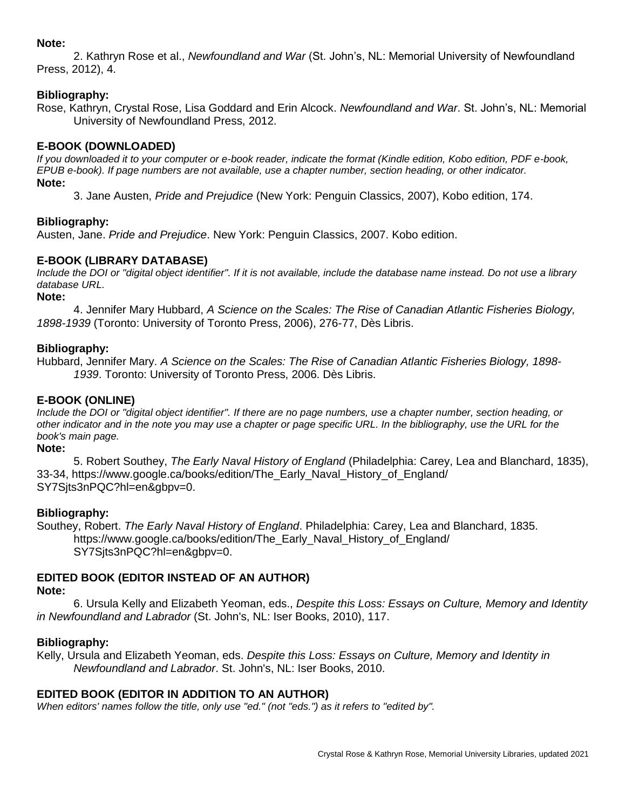#### **Note:**

2. Kathryn Rose et al., *Newfoundland and War* (St. John's, NL: Memorial University of Newfoundland Press, 2012), 4.

## **Bibliography:**

Rose, Kathryn, Crystal Rose, Lisa Goddard and Erin Alcock. *Newfoundland and War*. St. John's, NL: Memorial University of Newfoundland Press, 2012.

## **E-BOOK (DOWNLOADED)**

*If you downloaded it to your computer or e-book reader, indicate the format (Kindle edition, Kobo edition, PDF e-book, EPUB e-book). If page numbers are not available, use a chapter number, section heading, or other indicator.* **Note:**

3. Jane Austen, *Pride and Prejudice* (New York: Penguin Classics, 2007), Kobo edition, 174.

## **Bibliography:**

Austen, Jane. *Pride and Prejudice*. New York: Penguin Classics, 2007. Kobo edition.

## **E-BOOK (LIBRARY DATABASE)**

*Include the DOI or "digital object identifier". If it is not available, include the database name instead. Do not use a library database URL.*

**Note:** 

4. Jennifer Mary Hubbard, *A Science on the Scales: The Rise of Canadian Atlantic Fisheries Biology, 1898-1939* (Toronto: University of Toronto Press, 2006), 276-77, Dès Libris.

#### **Bibliography:**

Hubbard, Jennifer Mary. *A Science on the Scales: The Rise of Canadian Atlantic Fisheries Biology, 1898- 1939*. Toronto: University of Toronto Press, 2006. Dès Libris.

## **E-BOOK (ONLINE)**

*Include the DOI or "digital object identifier". If there are no page numbers, use a chapter number, section heading, or other indicator and in the note you may use a chapter or page specific URL. In the bibliography, use the URL for the book's main page.*

**Note:**

5. Robert Southey, *The Early Naval History of England* (Philadelphia: Carey, Lea and Blanchard, 1835), 33-34, https://www.google.ca/books/edition/The\_Early\_Naval\_History\_of\_England/ SY7Sjts3nPQC?hl=en&gbpv=0.

#### **Bibliography:**

Southey, Robert. *The Early Naval History of England*. Philadelphia: Carey, Lea and Blanchard, 1835. https://www.google.ca/books/edition/The\_Early\_Naval\_History\_of\_England/ SY7Sjts3nPQC?hl=en&gbpv=0.

# **EDITED BOOK (EDITOR INSTEAD OF AN AUTHOR)**

#### **Note:**

6. Ursula Kelly and Elizabeth Yeoman, eds., *Despite this Loss: Essays on Culture, Memory and Identity in Newfoundland and Labrador* (St. John's, NL: Iser Books, 2010), 117.

#### **Bibliography:**

Kelly, Ursula and Elizabeth Yeoman, eds. *Despite this Loss: Essays on Culture, Memory and Identity in Newfoundland and Labrador*. St. John's, NL: Iser Books, 2010.

## **EDITED BOOK (EDITOR IN ADDITION TO AN AUTHOR)**

*When editors' names follow the title, only use "ed." (not "eds.") as it refers to "edited by".*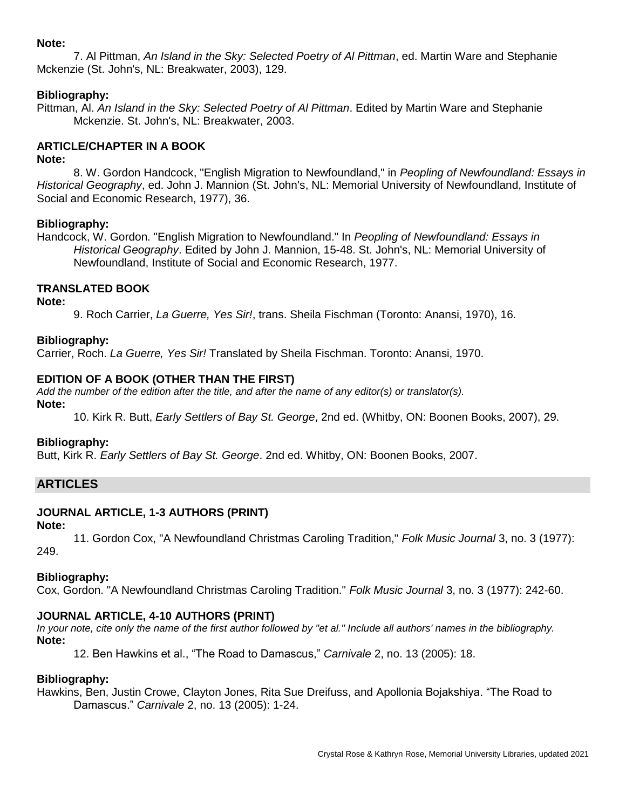#### **Note:**

7. Al Pittman, *An Island in the Sky: Selected Poetry of Al Pittman*, ed. Martin Ware and Stephanie Mckenzie (St. John's, NL: Breakwater, 2003), 129.

## **Bibliography:**

Pittman, Al. *An Island in the Sky: Selected Poetry of Al Pittman*. Edited by Martin Ware and Stephanie Mckenzie. St. John's, NL: Breakwater, 2003.

## **ARTICLE/CHAPTER IN A BOOK**

#### **Note:**

8. W. Gordon Handcock, "English Migration to Newfoundland," in *Peopling of Newfoundland: Essays in Historical Geography*, ed. John J. Mannion (St. John's, NL: Memorial University of Newfoundland, Institute of Social and Economic Research, 1977), 36.

## **Bibliography:**

Handcock, W. Gordon. "English Migration to Newfoundland." In *Peopling of Newfoundland: Essays in Historical Geography*. Edited by John J. Mannion, 15-48. St. John's, NL: Memorial University of Newfoundland, Institute of Social and Economic Research, 1977.

## **TRANSLATED BOOK**

**Note:**

9. Roch Carrier, *La Guerre, Yes Sir!*, trans. Sheila Fischman (Toronto: Anansi, 1970), 16.

#### **Bibliography:**

Carrier, Roch. *La Guerre, Yes Sir!* Translated by Sheila Fischman. Toronto: Anansi, 1970.

## **EDITION OF A BOOK (OTHER THAN THE FIRST)**

*Add the number of the edition after the title, and after the name of any editor(s) or translator(s).*

**Note:**

10. Kirk R. Butt, *Early Settlers of Bay St. George*, 2nd ed. (Whitby, ON: Boonen Books, 2007), 29.

#### **Bibliography:**

Butt, Kirk R. *Early Settlers of Bay St. George*. 2nd ed. Whitby, ON: Boonen Books, 2007.

## **ARTICLES**

## **JOURNAL ARTICLE, 1-3 AUTHORS (PRINT)**

#### **Note:**

11. Gordon Cox, "A Newfoundland Christmas Caroling Tradition," *Folk Music Journal* 3, no. 3 (1977): 249.

## **Bibliography:**

Cox, Gordon. "A Newfoundland Christmas Caroling Tradition." *Folk Music Journal* 3, no. 3 (1977): 242-60.

## **JOURNAL ARTICLE, 4-10 AUTHORS (PRINT)**

*In your note, cite only the name of the first author followed by "et al." Include all authors' names in the bibliography.* **Note:**

12. Ben Hawkins et al., "The Road to Damascus," *Carnivale* 2, no. 13 (2005): 18.

## **Bibliography:**

Hawkins, Ben, Justin Crowe, Clayton Jones, Rita Sue Dreifuss, and Apollonia Bojakshiya. "The Road to Damascus." *Carnivale* 2, no. 13 (2005): 1-24.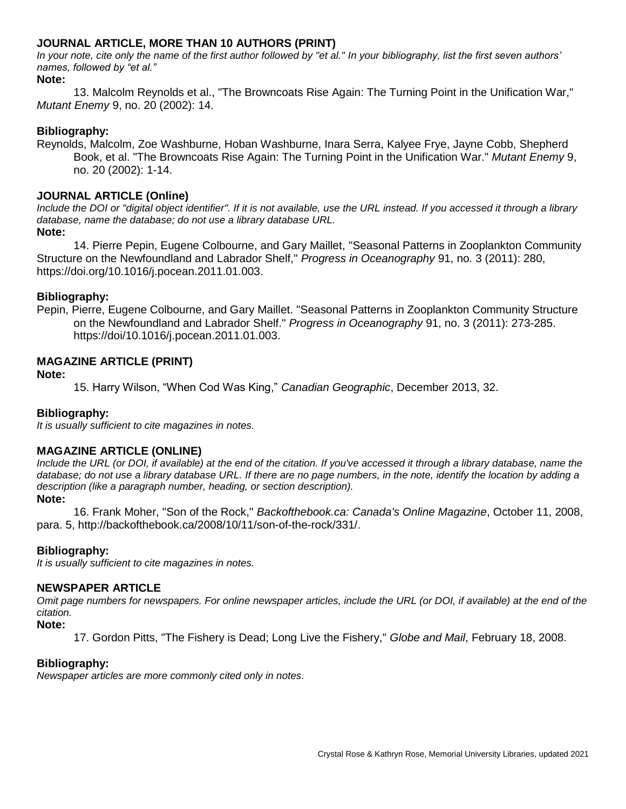## **JOURNAL ARTICLE, MORE THAN 10 AUTHORS (PRINT)**

*In your note, cite only the name of the first author followed by "et al." In your bibliography, list the first seven authors' names, followed by "et al."*

#### **Note:**

13. Malcolm Reynolds et al., "The Browncoats Rise Again: The Turning Point in the Unification War," *Mutant Enemy* 9, no. 20 (2002): 14.

#### **Bibliography:**

Reynolds, Malcolm, Zoe Washburne, Hoban Washburne, Inara Serra, Kalyee Frye, Jayne Cobb, Shepherd Book, et al. "The Browncoats Rise Again: The Turning Point in the Unification War." *Mutant Enemy* 9, no. 20 (2002): 1-14.

#### **JOURNAL ARTICLE (Online)**

*Include the DOI or "digital object identifier". If it is not available, use the URL instead. If you accessed it through a library database, name the database; do not use a library database URL.* 

**Note:**

14. Pierre Pepin, Eugene Colbourne, and Gary Maillet, "Seasonal Patterns in Zooplankton Community Structure on the Newfoundland and Labrador Shelf," *Progress in Oceanography* 91, no. 3 (2011): 280, https://doi.org/10.1016/j.pocean.2011.01.003.

#### **Bibliography:**

Pepin, Pierre, Eugene Colbourne, and Gary Maillet. "Seasonal Patterns in Zooplankton Community Structure on the Newfoundland and Labrador Shelf." *Progress in Oceanography* 91, no. 3 (2011): 273-285. https://doi/10.1016/j.pocean.2011.01.003.

#### **MAGAZINE ARTICLE (PRINT)**

#### **Note:**

15. Harry Wilson, "When Cod Was King," *Canadian Geographic*, December 2013, 32.

#### **Bibliography:**

*It is usually sufficient to cite magazines in notes.*

#### **MAGAZINE ARTICLE (ONLINE)**

*Include the URL (or DOI, if available) at the end of the citation. If you've accessed it through a library database, name the database; do not use a library database URL. If there are no page numbers, in the note, identify the location by adding a description (like a paragraph number, heading, or section description).*

#### **Note:**

16. Frank Moher, "Son of the Rock," *Backofthebook.ca: Canada's Online Magazine*, October 11, 2008, para. 5, http://backofthebook.ca/2008/10/11/son-of-the-rock/331/.

#### **Bibliography:**

*It is usually sufficient to cite magazines in notes.*

#### **NEWSPAPER ARTICLE**

*Omit page numbers for newspapers. For online newspaper articles, include the URL (or DOI, if available) at the end of the citation.*

#### **Note:**

17. Gordon Pitts, "The Fishery is Dead; Long Live the Fishery," *Globe and Mail*, February 18, 2008.

#### **Bibliography:**

*Newspaper articles are more commonly cited only in notes.*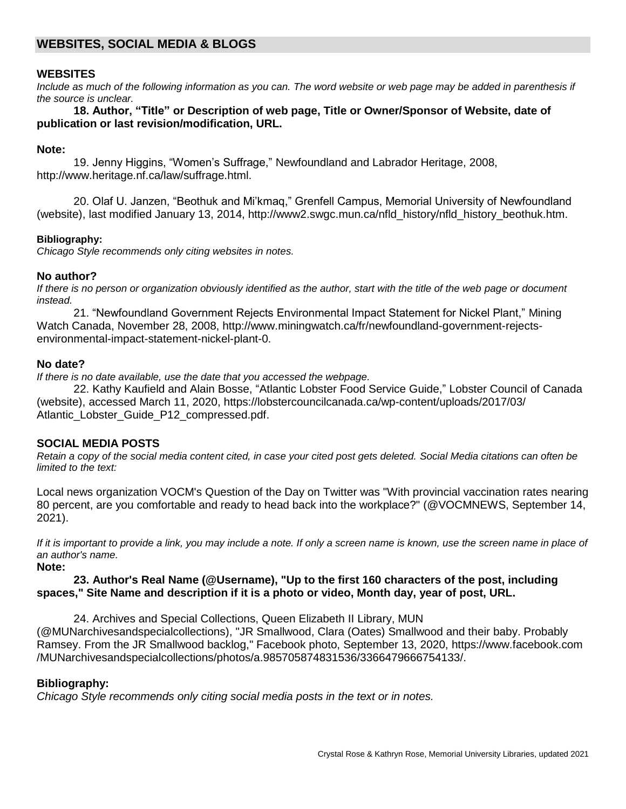## **WEBSITES, SOCIAL MEDIA & BLOGS**

#### **WEBSITES**

*Include as much of the following information as you can. The word website or web page may be added in parenthesis if the source is unclear.*

**18. Author, "Title" or Description of web page, Title or Owner/Sponsor of Website, date of publication or last revision/modification, URL.**

#### **Note:**

19. Jenny Higgins, "Women's Suffrage," Newfoundland and Labrador Heritage, 2008, http://www.heritage.nf.ca/law/suffrage.html.

20. Olaf U. Janzen, "Beothuk and Mi'kmaq," Grenfell Campus, Memorial University of Newfoundland (website), last modified January 13, 2014, http://www2.swgc.mun.ca/nfld\_history/nfld\_history\_beothuk.htm.

#### **Bibliography:**

*Chicago Style recommends only citing websites in notes.* 

#### **No author?**

*If there is no person or organization obviously identified as the author, start with the title of the web page or document instead.*

21. "Newfoundland Government Rejects Environmental Impact Statement for Nickel Plant," Mining Watch Canada, November 28, 2008, http://www.miningwatch.ca/fr/newfoundland-government-rejectsenvironmental-impact-statement-nickel-plant-0.

#### **No date?**

*If there is no date available, use the date that you accessed the webpage.*

22. Kathy Kaufield and Alain Bosse, "Atlantic Lobster Food Service Guide," Lobster Council of Canada (website), accessed March 11, 2020, https://lobstercouncilcanada.ca/wp-content/uploads/2017/03/ Atlantic Lobster Guide P12 compressed.pdf.

#### **SOCIAL MEDIA POSTS**

*Retain a copy of the social media content cited, in case your cited post gets deleted. Social Media citations can often be limited to the text:*

Local news organization VOCM's Question of the Day on Twitter was "With provincial vaccination rates nearing 80 percent, are you comfortable and ready to head back into the workplace?" (@VOCMNEWS, September 14, 2021).

*If it is important to provide a link, you may include a note. If only a screen name is known, use the screen name in place of an author's name.*

**Note:**

## **23. Author's Real Name (@Username), "Up to the first 160 characters of the post, including spaces," Site Name and description if it is a photo or video, Month day, year of post, URL.**

24. Archives and Special Collections, Queen Elizabeth II Library, MUN

(@MUNarchivesandspecialcollections), "JR Smallwood, Clara (Oates) Smallwood and their baby. Probably Ramsey. From the JR Smallwood backlog," Facebook photo, September 13, 2020, https://www.facebook.com /MUNarchivesandspecialcollections/photos/a.985705874831536/3366479666754133/.

#### **Bibliography:**

*Chicago Style recommends only citing social media posts in the text or in notes.*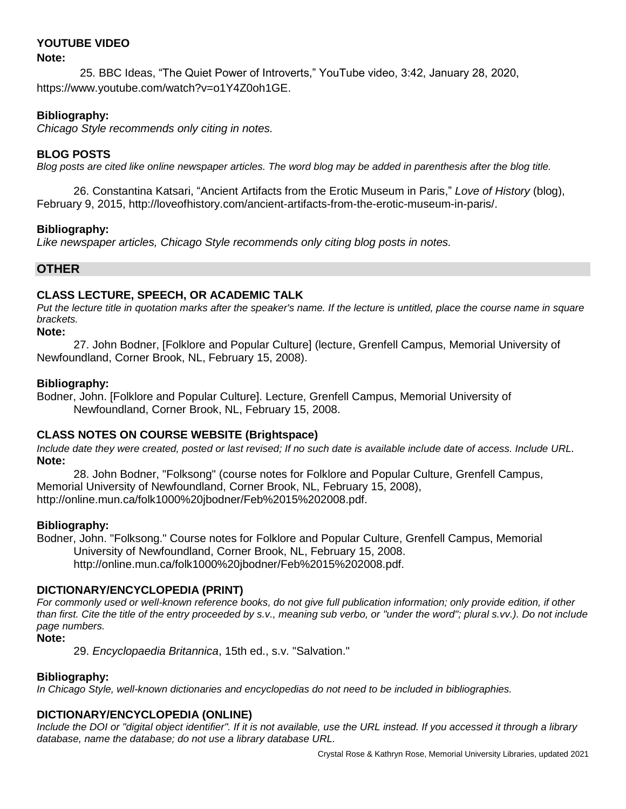## **YOUTUBE VIDEO**

#### **Note:**

 25. BBC Ideas, "The Quiet Power of Introverts," YouTube video, 3:42, January 28, 2020, https://www.youtube.com/watch?v=o1Y4Z0oh1GE.

## **Bibliography:**

*Chicago Style recommends only citing in notes.* 

## **BLOG POSTS**

*Blog posts are cited like online newspaper articles. The word blog may be added in parenthesis after the blog title.*

26. Constantina Katsari, "Ancient Artifacts from the Erotic Museum in Paris," *Love of History* (blog), February 9, 2015, http://loveofhistory.com/ancient-artifacts-from-the-erotic-museum-in-paris/.

## **Bibliography:**

*Like newspaper articles, Chicago Style recommends only citing blog posts in notes.* 

## **OTHER**

## **CLASS LECTURE, SPEECH, OR ACADEMIC TALK**

*Put the lecture title in quotation marks after the speaker's name. If the lecture is untitled, place the course name in square brackets.*

**Note:**

27. John Bodner, [Folklore and Popular Culture] (lecture, Grenfell Campus, Memorial University of Newfoundland, Corner Brook, NL, February 15, 2008).

## **Bibliography:**

Bodner, John. [Folklore and Popular Culture]. Lecture, Grenfell Campus, Memorial University of Newfoundland, Corner Brook, NL, February 15, 2008.

## **CLASS NOTES ON COURSE WEBSITE (Brightspace)**

*Include date they were created, posted or last revised; If no such date is available include date of access. Include URL.* **Note:**

28. John Bodner, "Folksong" (course notes for Folklore and Popular Culture, Grenfell Campus, Memorial University of Newfoundland, Corner Brook, NL, February 15, 2008), http://online.mun.ca/folk1000%20jbodner/Feb%2015%202008.pdf.

## **Bibliography:**

Bodner, John. "Folksong." Course notes for Folklore and Popular Culture, Grenfell Campus, Memorial University of Newfoundland, Corner Brook, NL, February 15, 2008. http://online.mun.ca/folk1000%20jbodner/Feb%2015%202008.pdf.

## **DICTIONARY/ENCYCLOPEDIA (PRINT)**

*For commonly used or well-known reference books, do not give full publication information; only provide edition, if other than first. Cite the title of the entry proceeded by s.v., meaning sub verbo, or "under the word"; plural s.vv.). Do not include page numbers.*

**Note:**

29. *Encyclopaedia Britannica*, 15th ed., s.v. "Salvation."

## **Bibliography:**

*In Chicago Style, well-known dictionaries and encyclopedias do not need to be included in bibliographies.*

## **DICTIONARY/ENCYCLOPEDIA (ONLINE)**

*Include the DOI or "digital object identifier". If it is not available, use the URL instead. If you accessed it through a library database, name the database; do not use a library database URL.*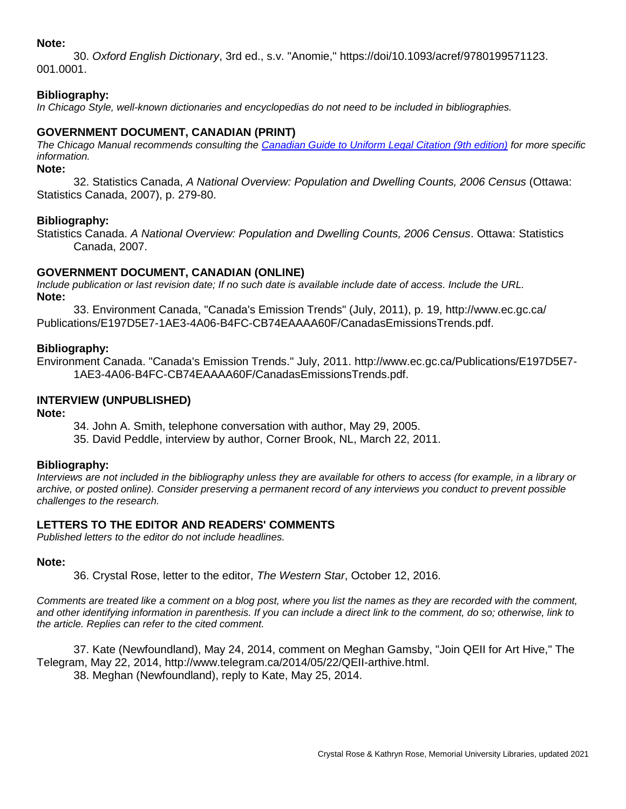#### **Note:**

30. *Oxford English Dictionary*, 3rd ed., s.v. "Anomie," https://doi/10.1093/acref/9780199571123. 001.0001.

## **Bibliography:**

*In Chicago Style, well-known dictionaries and encyclopedias do not need to be included in bibliographies.*

#### **GOVERNMENT DOCUMENT, CANADIAN (PRINT)**

*The Chicago Manual recommends consulting the [Canadian Guide to Uniform Legal Citation \(9th edition\)](https://mun.primo.exlibrisgroup.com/permalink/01MUN_INST/1f101eq/alma991141973902511) for more specific information.*

**Note:**

32. Statistics Canada, *A National Overview: Population and Dwelling Counts, 2006 Census* (Ottawa: Statistics Canada, 2007), p. 279-80.

#### **Bibliography:**

Statistics Canada. *A National Overview: Population and Dwelling Counts, 2006 Census*. Ottawa: Statistics Canada, 2007.

#### **GOVERNMENT DOCUMENT, CANADIAN (ONLINE)**

*Include publication or last revision date; If no such date is available include date of access. Include the URL.* **Note:**

33. Environment Canada, "Canada's Emission Trends" (July, 2011), p. 19, http://www.ec.gc.ca/ Publications/E197D5E7-1AE3-4A06-B4FC-CB74EAAAA60F/CanadasEmissionsTrends.pdf.

#### **Bibliography:**

Environment Canada. "Canada's Emission Trends." July, 2011. http://www.ec.gc.ca/Publications/E197D5E7- 1AE3-4A06-B4FC-CB74EAAAA60F/CanadasEmissionsTrends.pdf.

#### **INTERVIEW (UNPUBLISHED)**

**Note:**

34. John A. Smith, telephone conversation with author, May 29, 2005.

35. David Peddle, interview by author, Corner Brook, NL, March 22, 2011.

#### **Bibliography:**

*Interviews are not included in the bibliography unless they are available for others to access (for example, in a library or archive, or posted online). Consider preserving a permanent record of any interviews you conduct to prevent possible challenges to the research.*

#### **LETTERS TO THE EDITOR AND READERS' COMMENTS**

*Published letters to the editor do not include headlines.*

#### **Note:**

36. Crystal Rose, letter to the editor, *The Western Star*, October 12, 2016.

*Comments are treated like a comment on a blog post, where you list the names as they are recorded with the comment, and other identifying information in parenthesis. If you can include a direct link to the comment, do so; otherwise, link to the article. Replies can refer to the cited comment.*

37. Kate (Newfoundland), May 24, 2014, comment on Meghan Gamsby, "Join QEII for Art Hive," The Telegram, May 22, 2014, http://www.telegram.ca/2014/05/22/QEII-arthive.html. 38. Meghan (Newfoundland), reply to Kate, May 25, 2014.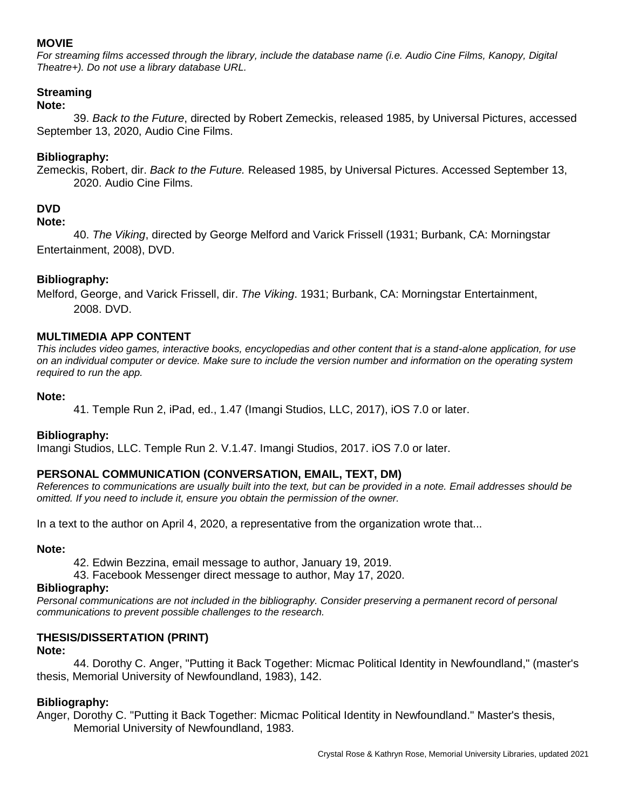## **MOVIE**

*For streaming films accessed through the library, include the database name (i.e. Audio Cine Films, Kanopy, Digital Theatre+). Do not use a library database URL.*

## **Streaming**

## **Note:**

39. *Back to the Future*, directed by Robert Zemeckis, released 1985, by Universal Pictures, accessed September 13, 2020, Audio Cine Films.

## **Bibliography:**

Zemeckis, Robert, dir. *Back to the Future.* Released 1985, by Universal Pictures. Accessed September 13, 2020. Audio Cine Films.

## **DVD**

#### **Note:**

40. *The Viking*, directed by George Melford and Varick Frissell (1931; Burbank, CA: Morningstar Entertainment, 2008), DVD.

## **Bibliography:**

Melford, George, and Varick Frissell, dir. *The Viking*. 1931; Burbank, CA: Morningstar Entertainment, 2008. DVD.

## **MULTIMEDIA APP CONTENT**

*This includes video games, interactive books, encyclopedias and other content that is a stand-alone application, for use on an individual computer or device. Make sure to include the version number and information on the operating system required to run the app.*

#### **Note:**

41. Temple Run 2, iPad, ed., 1.47 (Imangi Studios, LLC, 2017), iOS 7.0 or later.

## **Bibliography:**

Imangi Studios, LLC. Temple Run 2. V.1.47. Imangi Studios, 2017. iOS 7.0 or later.

## **PERSONAL COMMUNICATION (CONVERSATION, EMAIL, TEXT, DM)**

*References to communications are usually built into the text, but can be provided in a note. Email addresses should be omitted. If you need to include it, ensure you obtain the permission of the owner.*

In a text to the author on April 4, 2020, a representative from the organization wrote that...

#### **Note:**

42. Edwin Bezzina, email message to author, January 19, 2019.

43. Facebook Messenger direct message to author, May 17, 2020.

#### **Bibliography:**

Personal communications are not included in the bibliography. Consider preserving a permanent record of personal *communications to prevent possible challenges to the research.*

## **THESIS/DISSERTATION (PRINT)**

#### **Note:**

44. Dorothy C. Anger, "Putting it Back Together: Micmac Political Identity in Newfoundland," (master's thesis, Memorial University of Newfoundland, 1983), 142.

## **Bibliography:**

Anger, Dorothy C. "Putting it Back Together: Micmac Political Identity in Newfoundland." Master's thesis, Memorial University of Newfoundland, 1983.